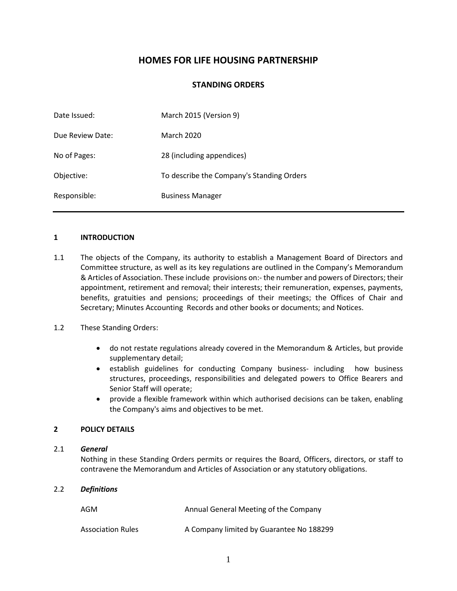# **HOMES FOR LIFE HOUSING PARTNERSHIP**

## **STANDING ORDERS**

| Date Issued:     | March 2015 (Version 9)                    |
|------------------|-------------------------------------------|
| Due Review Date: | <b>March 2020</b>                         |
| No of Pages:     | 28 (including appendices)                 |
| Objective:       | To describe the Company's Standing Orders |
| Responsible:     | <b>Business Manager</b>                   |

#### **1 INTRODUCTION**

1.1 The objects of the Company, its authority to establish a Management Board of Directors and Committee structure, as well as its key regulations are outlined in the Company's Memorandum & Articles of Association. These include provisions on:- the number and powers of Directors; their appointment, retirement and removal; their interests; their remuneration, expenses, payments, benefits, gratuities and pensions; proceedings of their meetings; the Offices of Chair and Secretary; Minutes Accounting Records and other books or documents; and Notices.

#### 1.2 These Standing Orders:

- do not restate regulations already covered in the Memorandum & Articles, but provide supplementary detail;
- establish guidelines for conducting Company business- including how business structures, proceedings, responsibilities and delegated powers to Office Bearers and Senior Staff will operate;
- provide a flexible framework within which authorised decisions can be taken, enabling the Company's aims and objectives to be met.

#### **2 POLICY DETAILS**

#### 2.1 *General*

Nothing in these Standing Orders permits or requires the Board, Officers, directors, or staff to contravene the Memorandum and Articles of Association or any statutory obligations.

#### 2.2 *Definitions*

| AGM                      | Annual General Meeting of the Company    |
|--------------------------|------------------------------------------|
| <b>Association Rules</b> | A Company limited by Guarantee No 188299 |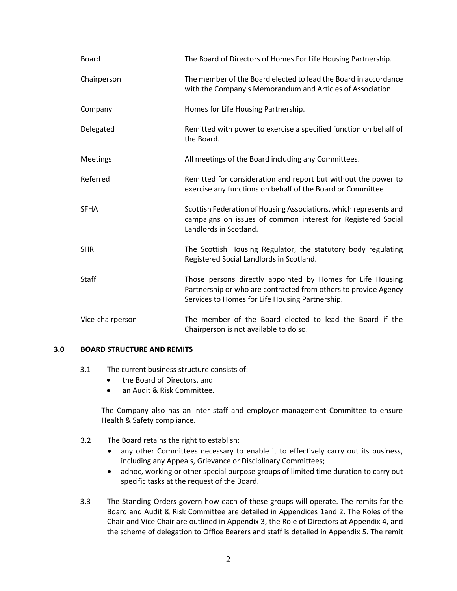| <b>Board</b>     | The Board of Directors of Homes For Life Housing Partnership.                                                                                                                    |
|------------------|----------------------------------------------------------------------------------------------------------------------------------------------------------------------------------|
| Chairperson      | The member of the Board elected to lead the Board in accordance<br>with the Company's Memorandum and Articles of Association.                                                    |
| Company          | Homes for Life Housing Partnership.                                                                                                                                              |
| Delegated        | Remitted with power to exercise a specified function on behalf of<br>the Board.                                                                                                  |
| <b>Meetings</b>  | All meetings of the Board including any Committees.                                                                                                                              |
| Referred         | Remitted for consideration and report but without the power to<br>exercise any functions on behalf of the Board or Committee.                                                    |
| <b>SFHA</b>      | Scottish Federation of Housing Associations, which represents and<br>campaigns on issues of common interest for Registered Social<br>Landlords in Scotland.                      |
| <b>SHR</b>       | The Scottish Housing Regulator, the statutory body regulating<br>Registered Social Landlords in Scotland.                                                                        |
| <b>Staff</b>     | Those persons directly appointed by Homes for Life Housing<br>Partnership or who are contracted from others to provide Agency<br>Services to Homes for Life Housing Partnership. |
| Vice-chairperson | The member of the Board elected to lead the Board if the<br>Chairperson is not available to do so.                                                                               |

### **3.0 BOARD STRUCTURE AND REMITS**

- 3.1 The current business structure consists of:
	- the Board of Directors, and
	- an Audit & Risk Committee.

The Company also has an inter staff and employer management Committee to ensure Health & Safety compliance.

- 3.2 The Board retains the right to establish:
	- any other Committees necessary to enable it to effectively carry out its business, including any Appeals, Grievance or Disciplinary Committees;
	- adhoc, working or other special purpose groups of limited time duration to carry out specific tasks at the request of the Board.
- 3.3 The Standing Orders govern how each of these groups will operate. The remits for the Board and Audit & Risk Committee are detailed in Appendices 1and 2. The Roles of the Chair and Vice Chair are outlined in Appendix 3, the Role of Directors at Appendix 4, and the scheme of delegation to Office Bearers and staff is detailed in Appendix 5. The remit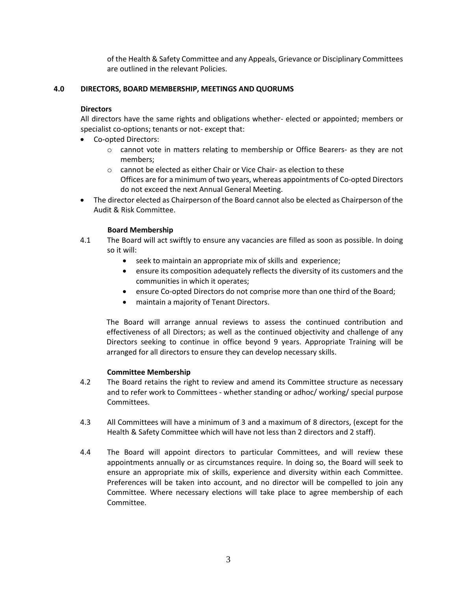of the Health & Safety Committee and any Appeals, Grievance or Disciplinary Committees are outlined in the relevant Policies.

### **4.0 DIRECTORS, BOARD MEMBERSHIP, MEETINGS AND QUORUMS**

## **Directors**

All directors have the same rights and obligations whether- elected or appointed; members or specialist co-options; tenants or not- except that:

- Co-opted Directors:
	- $\circ$  cannot vote in matters relating to membership or Office Bearers- as they are not members;
	- o cannot be elected as either Chair or Vice Chair- as election to these Offices are for a minimum of two years, whereas appointments of Co-opted Directors do not exceed the next Annual General Meeting.
- The director elected as Chairperson of the Board cannot also be elected as Chairperson of the Audit & Risk Committee.

## **Board Membership**

- 4.1 The Board will act swiftly to ensure any vacancies are filled as soon as possible. In doing so it will:
	- seek to maintain an appropriate mix of skills and experience;
	- ensure its composition adequately reflects the diversity of its customers and the communities in which it operates;
	- ensure Co-opted Directors do not comprise more than one third of the Board;
	- maintain a majority of Tenant Directors.

The Board will arrange annual reviews to assess the continued contribution and effectiveness of all Directors; as well as the continued objectivity and challenge of any Directors seeking to continue in office beyond 9 years. Appropriate Training will be arranged for all directors to ensure they can develop necessary skills.

#### **Committee Membership**

- 4.2 The Board retains the right to review and amend its Committee structure as necessary and to refer work to Committees - whether standing or adhoc/ working/ special purpose Committees.
- 4.3 All Committees will have a minimum of 3 and a maximum of 8 directors, (except for the Health & Safety Committee which will have not less than 2 directors and 2 staff).
- 4.4 The Board will appoint directors to particular Committees, and will review these appointments annually or as circumstances require. In doing so, the Board will seek to ensure an appropriate mix of skills, experience and diversity within each Committee. Preferences will be taken into account, and no director will be compelled to join any Committee. Where necessary elections will take place to agree membership of each Committee.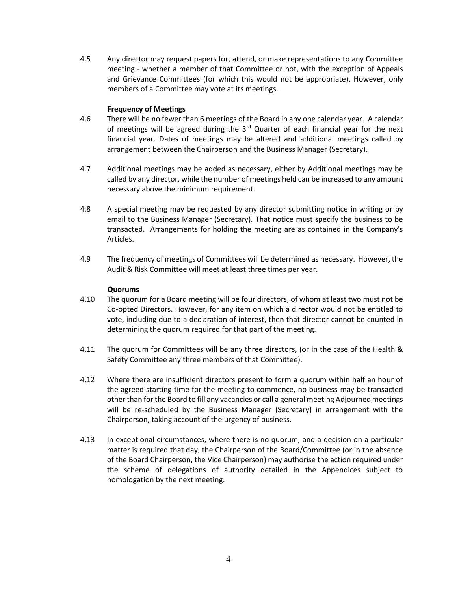4.5 Any director may request papers for, attend, or make representations to any Committee meeting - whether a member of that Committee or not, with the exception of Appeals and Grievance Committees (for which this would not be appropriate). However, only members of a Committee may vote at its meetings.

#### **Frequency of Meetings**

- 4.6 There will be no fewer than 6 meetings of the Board in any one calendar year. A calendar of meetings will be agreed during the  $3<sup>rd</sup>$  Quarter of each financial year for the next financial year. Dates of meetings may be altered and additional meetings called by arrangement between the Chairperson and the Business Manager (Secretary).
- 4.7 Additional meetings may be added as necessary, either by Additional meetings may be called by any director, while the number of meetings held can be increased to any amount necessary above the minimum requirement.
- 4.8 A special meeting may be requested by any director submitting notice in writing or by email to the Business Manager (Secretary). That notice must specify the business to be transacted. Arrangements for holding the meeting are as contained in the Company's Articles.
- 4.9 The frequency of meetings of Committees will be determined as necessary. However, the Audit & Risk Committee will meet at least three times per year.

#### **Quorums**

- 4.10 The quorum for a Board meeting will be four directors, of whom at least two must not be Co-opted Directors. However, for any item on which a director would not be entitled to vote, including due to a declaration of interest, then that director cannot be counted in determining the quorum required for that part of the meeting.
- 4.11 The quorum for Committees will be any three directors, (or in the case of the Health & Safety Committee any three members of that Committee).
- 4.12 Where there are insufficient directors present to form a quorum within half an hour of the agreed starting time for the meeting to commence, no business may be transacted other than for the Board to fill any vacancies or call a general meeting Adjourned meetings will be re-scheduled by the Business Manager (Secretary) in arrangement with the Chairperson, taking account of the urgency of business.
- 4.13 In exceptional circumstances, where there is no quorum, and a decision on a particular matter is required that day, the Chairperson of the Board/Committee (or in the absence of the Board Chairperson, the Vice Chairperson) may authorise the action required under the scheme of delegations of authority detailed in the Appendices subject to homologation by the next meeting.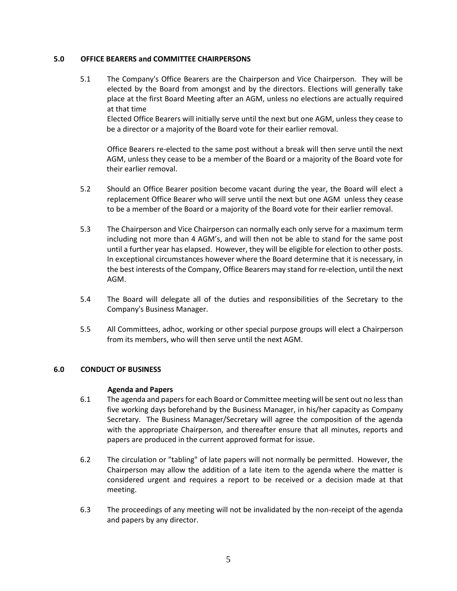### **5.0 OFFICE BEARERS and COMMITTEE CHAIRPERSONS**

5.1 The Company's Office Bearers are the Chairperson and Vice Chairperson. They will be elected by the Board from amongst and by the directors. Elections will generally take place at the first Board Meeting after an AGM, unless no elections are actually required at that time

Elected Office Bearers will initially serve until the next but one AGM, unless they cease to be a director or a majority of the Board vote for their earlier removal.

Office Bearers re-elected to the same post without a break will then serve until the next AGM, unless they cease to be a member of the Board or a majority of the Board vote for their earlier removal.

- 5.2 Should an Office Bearer position become vacant during the year, the Board will elect a replacement Office Bearer who will serve until the next but one AGM unless they cease to be a member of the Board or a majority of the Board vote for their earlier removal.
- 5.3 The Chairperson and Vice Chairperson can normally each only serve for a maximum term including not more than 4 AGM's, and will then not be able to stand for the same post until a further year has elapsed. However, they will be eligible for election to other posts. In exceptional circumstances however where the Board determine that it is necessary, in the best interests of the Company, Office Bearers may stand for re-election, until the next AGM.
- 5.4 The Board will delegate all of the duties and responsibilities of the Secretary to the Company's Business Manager.
- 5.5 All Committees, adhoc, working or other special purpose groups will elect a Chairperson from its members, who will then serve until the next AGM.

#### **6.0 CONDUCT OF BUSINESS**

#### **Agenda and Papers**

- 6.1 The agenda and papers for each Board or Committee meeting will be sent out no less than five working days beforehand by the Business Manager, in his/her capacity as Company Secretary. The Business Manager/Secretary will agree the composition of the agenda with the appropriate Chairperson, and thereafter ensure that all minutes, reports and papers are produced in the current approved format for issue.
- 6.2 The circulation or "tabling" of late papers will not normally be permitted. However, the Chairperson may allow the addition of a late item to the agenda where the matter is considered urgent and requires a report to be received or a decision made at that meeting.
- 6.3 The proceedings of any meeting will not be invalidated by the non-receipt of the agenda and papers by any director.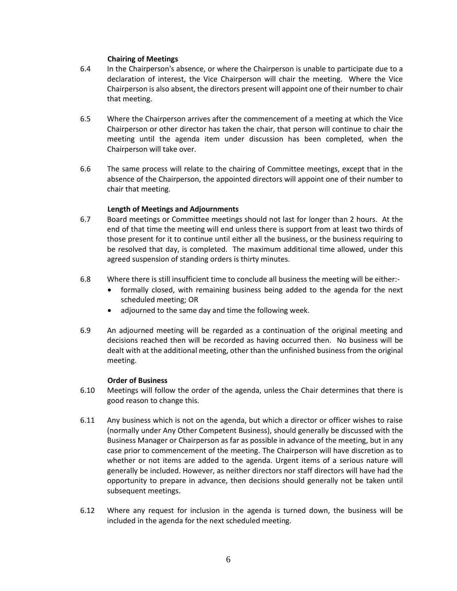#### **Chairing of Meetings**

- 6.4 In the Chairperson's absence, or where the Chairperson is unable to participate due to a declaration of interest, the Vice Chairperson will chair the meeting. Where the Vice Chairperson is also absent, the directors present will appoint one of their number to chair that meeting.
- 6.5 Where the Chairperson arrives after the commencement of a meeting at which the Vice Chairperson or other director has taken the chair, that person will continue to chair the meeting until the agenda item under discussion has been completed, when the Chairperson will take over.
- 6.6 The same process will relate to the chairing of Committee meetings, except that in the absence of the Chairperson, the appointed directors will appoint one of their number to chair that meeting.

#### **Length of Meetings and Adjournments**

- 6.7 Board meetings or Committee meetings should not last for longer than 2 hours. At the end of that time the meeting will end unless there is support from at least two thirds of those present for it to continue until either all the business, or the business requiring to be resolved that day, is completed. The maximum additional time allowed, under this agreed suspension of standing orders is thirty minutes.
- 6.8 Where there is still insufficient time to conclude all business the meeting will be either:-
	- formally closed, with remaining business being added to the agenda for the next scheduled meeting; OR
	- adjourned to the same day and time the following week.
- 6.9 An adjourned meeting will be regarded as a continuation of the original meeting and decisions reached then will be recorded as having occurred then. No business will be dealt with at the additional meeting, other than the unfinished business from the original meeting.

#### **Order of Business**

- 6.10 Meetings will follow the order of the agenda, unless the Chair determines that there is good reason to change this.
- 6.11 Any business which is not on the agenda, but which a director or officer wishes to raise (normally under Any Other Competent Business), should generally be discussed with the Business Manager or Chairperson as far as possible in advance of the meeting, but in any case prior to commencement of the meeting. The Chairperson will have discretion as to whether or not items are added to the agenda. Urgent items of a serious nature will generally be included. However, as neither directors nor staff directors will have had the opportunity to prepare in advance, then decisions should generally not be taken until subsequent meetings.
- 6.12 Where any request for inclusion in the agenda is turned down, the business will be included in the agenda for the next scheduled meeting.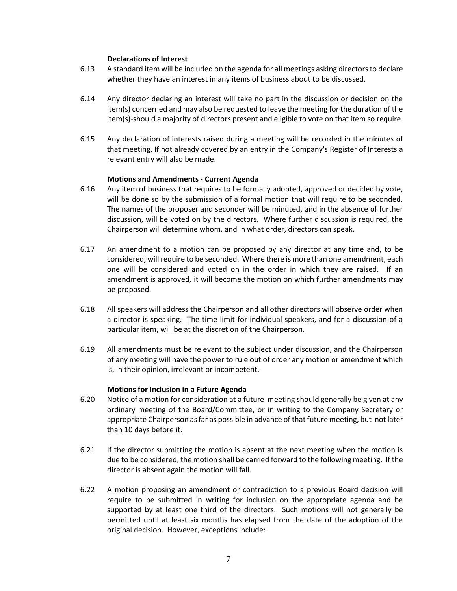#### **Declarations of Interest**

- 6.13 A standard item will be included on the agenda for all meetings asking directors to declare whether they have an interest in any items of business about to be discussed.
- 6.14 Any director declaring an interest will take no part in the discussion or decision on the item(s) concerned and may also be requested to leave the meeting for the duration of the item(s)-should a majority of directors present and eligible to vote on that item so require.
- 6.15 Any declaration of interests raised during a meeting will be recorded in the minutes of that meeting. If not already covered by an entry in the Company's Register of Interests a relevant entry will also be made.

#### **Motions and Amendments - Current Agenda**

- 6.16 Any item of business that requires to be formally adopted, approved or decided by vote, will be done so by the submission of a formal motion that will require to be seconded. The names of the proposer and seconder will be minuted, and in the absence of further discussion, will be voted on by the directors. Where further discussion is required, the Chairperson will determine whom, and in what order, directors can speak.
- 6.17 An amendment to a motion can be proposed by any director at any time and, to be considered, will require to be seconded. Where there is more than one amendment, each one will be considered and voted on in the order in which they are raised. If an amendment is approved, it will become the motion on which further amendments may be proposed.
- 6.18 All speakers will address the Chairperson and all other directors will observe order when a director is speaking. The time limit for individual speakers, and for a discussion of a particular item, will be at the discretion of the Chairperson.
- 6.19 All amendments must be relevant to the subject under discussion, and the Chairperson of any meeting will have the power to rule out of order any motion or amendment which is, in their opinion, irrelevant or incompetent.

#### **Motions for Inclusion in a Future Agenda**

- 6.20 Notice of a motion for consideration at a future meeting should generally be given at any ordinary meeting of the Board/Committee, or in writing to the Company Secretary or appropriate Chairperson as far as possible in advance of that future meeting, but not later than 10 days before it.
- 6.21 If the director submitting the motion is absent at the next meeting when the motion is due to be considered, the motion shall be carried forward to the following meeting. If the director is absent again the motion will fall.
- 6.22 A motion proposing an amendment or contradiction to a previous Board decision will require to be submitted in writing for inclusion on the appropriate agenda and be supported by at least one third of the directors. Such motions will not generally be permitted until at least six months has elapsed from the date of the adoption of the original decision. However, exceptions include: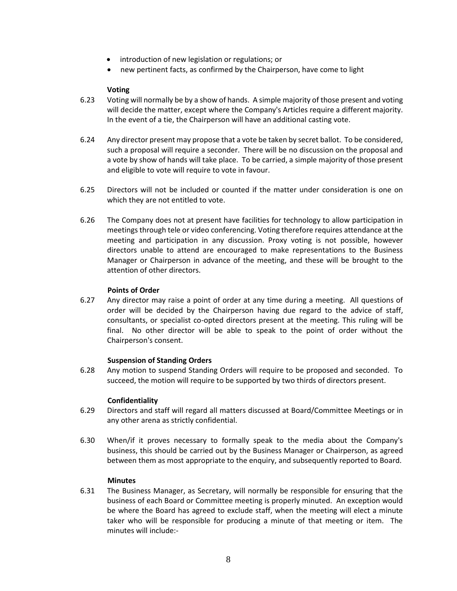- introduction of new legislation or regulations; or
- new pertinent facts, as confirmed by the Chairperson, have come to light

#### **Voting**

- 6.23 Voting will normally be by a show of hands. A simple majority of those present and voting will decide the matter, except where the Company's Articles require a different majority. In the event of a tie, the Chairperson will have an additional casting vote.
- 6.24 Any director present may propose that a vote be taken by secret ballot. To be considered, such a proposal will require a seconder. There will be no discussion on the proposal and a vote by show of hands will take place. To be carried, a simple majority of those present and eligible to vote will require to vote in favour.
- 6.25 Directors will not be included or counted if the matter under consideration is one on which they are not entitled to vote.
- 6.26 The Company does not at present have facilities for technology to allow participation in meetings through tele or video conferencing. Voting therefore requires attendance at the meeting and participation in any discussion. Proxy voting is not possible, however directors unable to attend are encouraged to make representations to the Business Manager or Chairperson in advance of the meeting, and these will be brought to the attention of other directors.

#### **Points of Order**

6.27 Any director may raise a point of order at any time during a meeting. All questions of order will be decided by the Chairperson having due regard to the advice of staff, consultants, or specialist co-opted directors present at the meeting. This ruling will be final. No other director will be able to speak to the point of order without the Chairperson's consent.

#### **Suspension of Standing Orders**

6.28 Any motion to suspend Standing Orders will require to be proposed and seconded. To succeed, the motion will require to be supported by two thirds of directors present.

#### **Confidentiality**

- 6.29 Directors and staff will regard all matters discussed at Board/Committee Meetings or in any other arena as strictly confidential.
- 6.30 When/if it proves necessary to formally speak to the media about the Company's business, this should be carried out by the Business Manager or Chairperson, as agreed between them as most appropriate to the enquiry, and subsequently reported to Board.

#### **Minutes**

6.31 The Business Manager, as Secretary, will normally be responsible for ensuring that the business of each Board or Committee meeting is properly minuted. An exception would be where the Board has agreed to exclude staff, when the meeting will elect a minute taker who will be responsible for producing a minute of that meeting or item. The minutes will include:-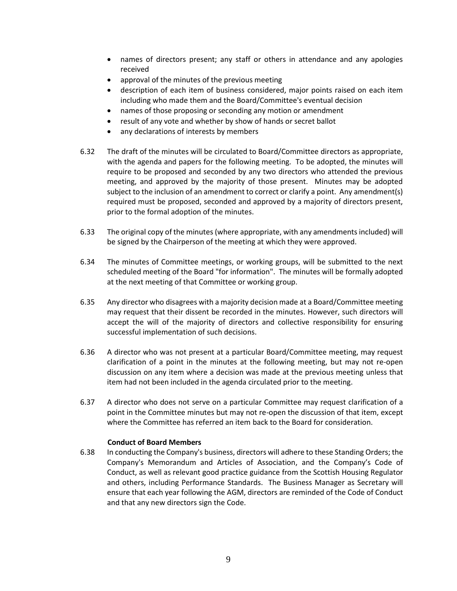- names of directors present; any staff or others in attendance and any apologies received
- approval of the minutes of the previous meeting
- description of each item of business considered, major points raised on each item including who made them and the Board/Committee's eventual decision
- names of those proposing or seconding any motion or amendment
- result of any vote and whether by show of hands or secret ballot
- any declarations of interests by members
- 6.32 The draft of the minutes will be circulated to Board/Committee directors as appropriate, with the agenda and papers for the following meeting. To be adopted, the minutes will require to be proposed and seconded by any two directors who attended the previous meeting, and approved by the majority of those present. Minutes may be adopted subject to the inclusion of an amendment to correct or clarify a point. Any amendment(s) required must be proposed, seconded and approved by a majority of directors present, prior to the formal adoption of the minutes.
- 6.33 The original copy of the minutes (where appropriate, with any amendments included) will be signed by the Chairperson of the meeting at which they were approved.
- 6.34 The minutes of Committee meetings, or working groups, will be submitted to the next scheduled meeting of the Board "for information". The minutes will be formally adopted at the next meeting of that Committee or working group.
- 6.35 Any director who disagrees with a majority decision made at a Board/Committee meeting may request that their dissent be recorded in the minutes. However, such directors will accept the will of the majority of directors and collective responsibility for ensuring successful implementation of such decisions.
- 6.36 A director who was not present at a particular Board/Committee meeting, may request clarification of a point in the minutes at the following meeting, but may not re-open discussion on any item where a decision was made at the previous meeting unless that item had not been included in the agenda circulated prior to the meeting.
- 6.37 A director who does not serve on a particular Committee may request clarification of a point in the Committee minutes but may not re-open the discussion of that item, except where the Committee has referred an item back to the Board for consideration.

#### **Conduct of Board Members**

6.38 In conducting the Company's business, directors will adhere to these Standing Orders; the Company's Memorandum and Articles of Association, and the Company's Code of Conduct, as well as relevant good practice guidance from the Scottish Housing Regulator and others, including Performance Standards. The Business Manager as Secretary will ensure that each year following the AGM, directors are reminded of the Code of Conduct and that any new directors sign the Code.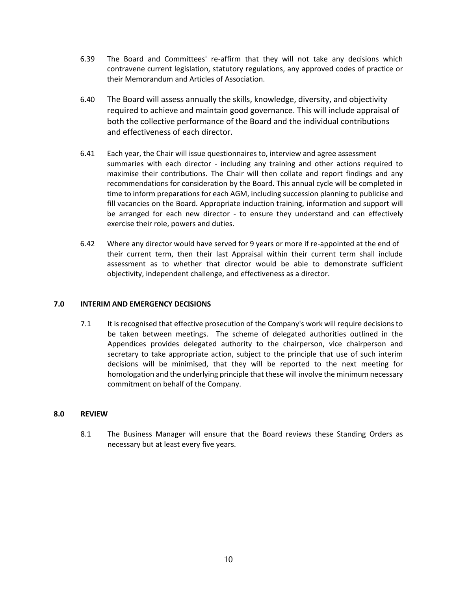- 6.39 The Board and Committees' re-affirm that they will not take any decisions which contravene current legislation, statutory regulations, any approved codes of practice or their Memorandum and Articles of Association.
- 6.40 The Board will assess annually the skills, knowledge, diversity, and objectivity required to achieve and maintain good governance. This will include appraisal of both the collective performance of the Board and the individual contributions and effectiveness of each director.
- 6.41 Each year, the Chair will issue questionnaires to, interview and agree assessment summaries with each director - including any training and other actions required to maximise their contributions. The Chair will then collate and report findings and any recommendations for consideration by the Board. This annual cycle will be completed in time to inform preparations for each AGM, including succession planning to publicise and fill vacancies on the Board. Appropriate induction training, information and support will be arranged for each new director - to ensure they understand and can effectively exercise their role, powers and duties.
- 6.42 Where any director would have served for 9 years or more if re-appointed at the end of their current term, then their last Appraisal within their current term shall include assessment as to whether that director would be able to demonstrate sufficient objectivity, independent challenge, and effectiveness as a director.

#### **7.0 INTERIM AND EMERGENCY DECISIONS**

7.1 It is recognised that effective prosecution of the Company's work will require decisions to be taken between meetings. The scheme of delegated authorities outlined in the Appendices provides delegated authority to the chairperson, vice chairperson and secretary to take appropriate action, subject to the principle that use of such interim decisions will be minimised, that they will be reported to the next meeting for homologation and the underlying principle that these will involve the minimum necessary commitment on behalf of the Company.

### **8.0 REVIEW**

8.1 The Business Manager will ensure that the Board reviews these Standing Orders as necessary but at least every five years.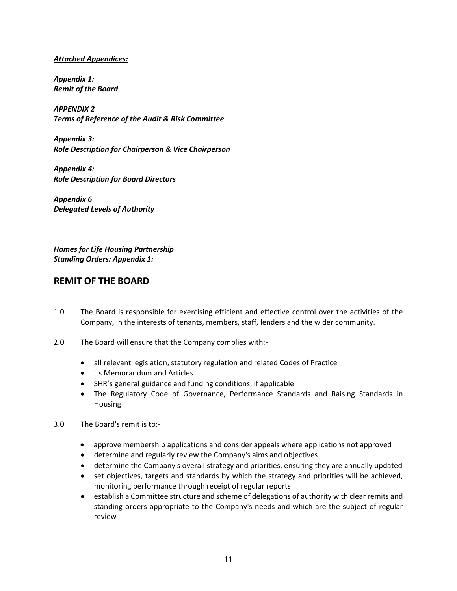## *Attached Appendices:*

*Appendix 1: Remit of the Board*

*APPENDIX 2 Terms of Reference of the Audit & Risk Committee*

*Appendix 3: Role Description for Chairperson & Vice Chairperson*

*Appendix 4: Role Description for Board Directors*

*Appendix 6 Delegated Levels of Authority*

*Homes for Life Housing Partnership Standing Orders: Appendix 1:*

# **REMIT OF THE BOARD**

- 1.0 The Board is responsible for exercising efficient and effective control over the activities of the Company, in the interests of tenants, members, staff, lenders and the wider community.
- 2.0 The Board will ensure that the Company complies with:-
	- all relevant legislation, statutory regulation and related Codes of Practice
	- its Memorandum and Articles
	- SHR's general guidance and funding conditions, if applicable
	- The Regulatory Code of Governance, Performance Standards and Raising Standards in Housing
- 3.0 The Board's remit is to:-
	- approve membership applications and consider appeals where applications not approved
	- determine and regularly review the Company's aims and objectives
	- determine the Company's overall strategy and priorities, ensuring they are annually updated
	- set objectives, targets and standards by which the strategy and priorities will be achieved, monitoring performance through receipt of regular reports
	- establish a Committee structure and scheme of delegations of authority with clear remits and standing orders appropriate to the Company's needs and which are the subject of regular review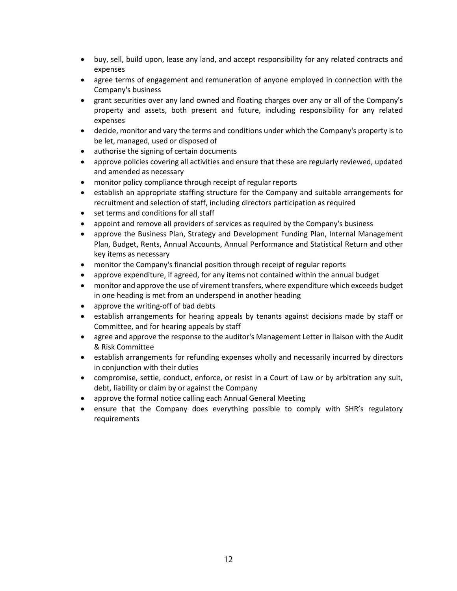- buy, sell, build upon, lease any land, and accept responsibility for any related contracts and expenses
- agree terms of engagement and remuneration of anyone employed in connection with the Company's business
- grant securities over any land owned and floating charges over any or all of the Company's property and assets, both present and future, including responsibility for any related expenses
- decide, monitor and vary the terms and conditions under which the Company's property is to be let, managed, used or disposed of
- authorise the signing of certain documents
- approve policies covering all activities and ensure that these are regularly reviewed, updated and amended as necessary
- monitor policy compliance through receipt of regular reports
- establish an appropriate staffing structure for the Company and suitable arrangements for recruitment and selection of staff, including directors participation as required
- set terms and conditions for all staff
- appoint and remove all providers of services as required by the Company's business
- approve the Business Plan, Strategy and Development Funding Plan, Internal Management Plan, Budget, Rents, Annual Accounts, Annual Performance and Statistical Return and other key items as necessary
- monitor the Company's financial position through receipt of regular reports
- approve expenditure, if agreed, for any items not contained within the annual budget
- monitor and approve the use of virement transfers, where expenditure which exceeds budget in one heading is met from an underspend in another heading
- approve the writing-off of bad debts
- establish arrangements for hearing appeals by tenants against decisions made by staff or Committee, and for hearing appeals by staff
- agree and approve the response to the auditor's Management Letter in liaison with the Audit & Risk Committee
- establish arrangements for refunding expenses wholly and necessarily incurred by directors in conjunction with their duties
- compromise, settle, conduct, enforce, or resist in a Court of Law or by arbitration any suit, debt, liability or claim by or against the Company
- approve the formal notice calling each Annual General Meeting
- ensure that the Company does everything possible to comply with SHR's regulatory requirements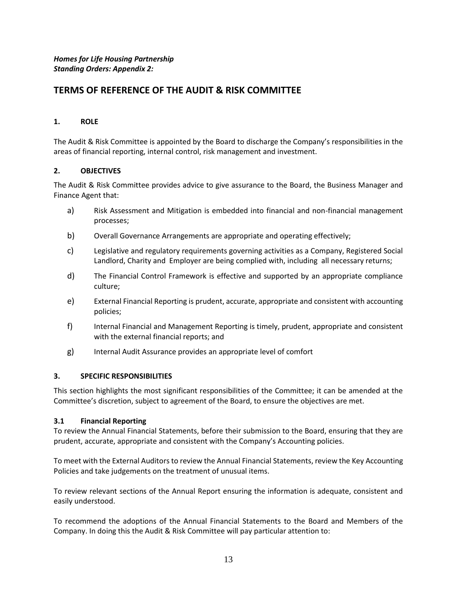# **TERMS OF REFERENCE OF THE AUDIT & RISK COMMITTEE**

## **1. ROLE**

The Audit & Risk Committee is appointed by the Board to discharge the Company's responsibilities in the areas of financial reporting, internal control, risk management and investment.

## **2. OBJECTIVES**

The Audit & Risk Committee provides advice to give assurance to the Board, the Business Manager and Finance Agent that:

- a) Risk Assessment and Mitigation is embedded into financial and non-financial management processes;
- b) Overall Governance Arrangements are appropriate and operating effectively;
- c) Legislative and regulatory requirements governing activities as a Company, Registered Social Landlord, Charity and Employer are being complied with, including all necessary returns;
- d) The Financial Control Framework is effective and supported by an appropriate compliance culture;
- e) External Financial Reporting is prudent, accurate, appropriate and consistent with accounting policies;
- f) Internal Financial and Management Reporting is timely, prudent, appropriate and consistent with the external financial reports; and
- g) Internal Audit Assurance provides an appropriate level of comfort

#### **3. SPECIFIC RESPONSIBILITIES**

This section highlights the most significant responsibilities of the Committee; it can be amended at the Committee's discretion, subject to agreement of the Board, to ensure the objectives are met.

#### **3.1 Financial Reporting**

To review the Annual Financial Statements, before their submission to the Board, ensuring that they are prudent, accurate, appropriate and consistent with the Company's Accounting policies.

To meet with the External Auditors to review the Annual Financial Statements, review the Key Accounting Policies and take judgements on the treatment of unusual items.

To review relevant sections of the Annual Report ensuring the information is adequate, consistent and easily understood.

To recommend the adoptions of the Annual Financial Statements to the Board and Members of the Company. In doing this the Audit & Risk Committee will pay particular attention to: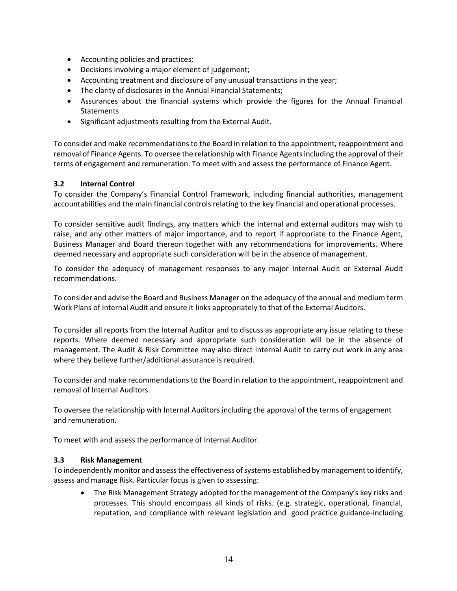- Accounting policies and practices;
- Decisions involving a major element of judgement;
- Accounting treatment and disclosure of any unusual transactions in the year;
- The clarity of disclosures in the Annual Financial Statements;
- Assurances about the financial systems which provide the figures for the Annual Financial **Statements**
- Significant adjustments resulting from the External Audit.

To consider and make recommendations to the Board in relation to the appointment, reappointment and removal of Finance Agents. To oversee the relationship with Finance Agents including the approval of their terms of engagement and remuneration. To meet with and assess the performance of Finance Agent.

#### **3.2 Internal Control**

To consider the Company's Financial Control Framework, including financial authorities, management accountabilities and the main financial controls relating to the key financial and operational processes.

To consider sensitive audit findings, any matters which the internal and external auditors may wish to raise, and any other matters of major importance, and to report if appropriate to the Finance Agent, Business Manager and Board thereon together with any recommendations for improvements. Where deemed necessary and appropriate such consideration will be in the absence of management.

To consider the adequacy of management responses to any major Internal Audit or External Audit recommendations.

To consider and advise the Board and Business Manager on the adequacy of the annual and medium term Work Plans of Internal Audit and ensure it links appropriately to that of the External Auditors.

To consider all reports from the Internal Auditor and to discuss as appropriate any issue relating to these reports. Where deemed necessary and appropriate such consideration will be in the absence of management. The Audit & Risk Committee may also direct Internal Audit to carry out work in any area where they believe further/additional assurance is required.

To consider and make recommendations to the Board in relation to the appointment, reappointment and removal of Internal Auditors.

To oversee the relationship with Internal Auditors including the approval of the terms of engagement and remuneration.

To meet with and assess the performance of Internal Auditor.

#### **3.3 Risk Management**

To independently monitor and assess the effectiveness of systems established by management to identify, assess and manage Risk. Particular focus is given to assessing:

• The Risk Management Strategy adopted for the management of the Company's key risks and processes. This should encompass all kinds of risks. (e.g. strategic, operational, financial, reputation, and compliance with relevant legislation and good practice guidance-including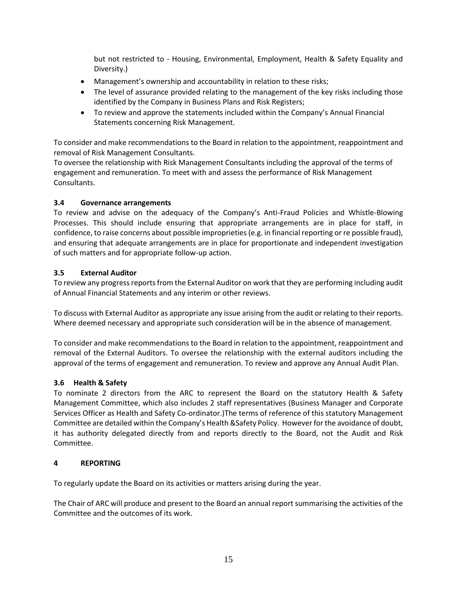but not restricted to - Housing, Environmental, Employment, Health & Safety Equality and Diversity.)

- Management's ownership and accountability in relation to these risks;
- The level of assurance provided relating to the management of the key risks including those identified by the Company in Business Plans and Risk Registers;
- To review and approve the statements included within the Company's Annual Financial Statements concerning Risk Management.

To consider and make recommendations to the Board in relation to the appointment, reappointment and removal of Risk Management Consultants.

To oversee the relationship with Risk Management Consultants including the approval of the terms of engagement and remuneration. To meet with and assess the performance of Risk Management Consultants.

## **3.4 Governance arrangements**

To review and advise on the adequacy of the Company's Anti-Fraud Policies and Whistle-Blowing Processes. This should include ensuring that appropriate arrangements are in place for staff, in confidence, to raise concerns about possible improprieties (e.g. in financial reporting or re possible fraud), and ensuring that adequate arrangements are in place for proportionate and independent investigation of such matters and for appropriate follow-up action.

## **3.5 External Auditor**

To review any progress reports from the External Auditor on work that they are performing including audit of Annual Financial Statements and any interim or other reviews.

To discuss with External Auditor as appropriate any issue arising from the audit or relating to their reports. Where deemed necessary and appropriate such consideration will be in the absence of management.

To consider and make recommendations to the Board in relation to the appointment, reappointment and removal of the External Auditors. To oversee the relationship with the external auditors including the approval of the terms of engagement and remuneration. To review and approve any Annual Audit Plan.

## **3.6 Health & Safety**

To nominate 2 directors from the ARC to represent the Board on the statutory Health & Safety Management Committee, which also includes 2 staff representatives (Business Manager and Corporate Services Officer as Health and Safety Co-ordinator.)The terms of reference of this statutory Management Committee are detailed within the Company's Health &Safety Policy. However for the avoidance of doubt, it has authority delegated directly from and reports directly to the Board, not the Audit and Risk Committee.

#### **4 REPORTING**

To regularly update the Board on its activities or matters arising during the year.

The Chair of ARC will produce and present to the Board an annual report summarising the activities of the Committee and the outcomes of its work.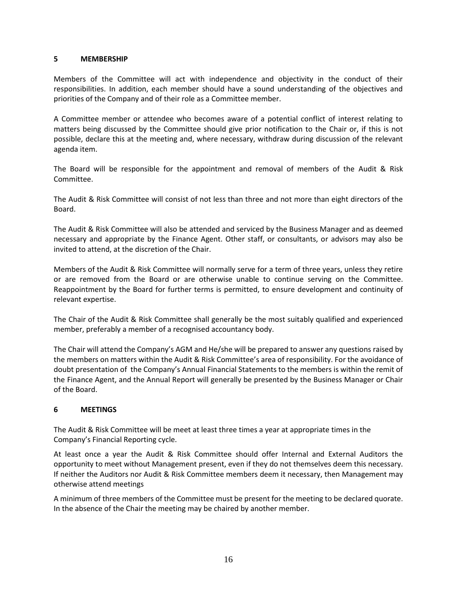### **5 MEMBERSHIP**

Members of the Committee will act with independence and objectivity in the conduct of their responsibilities. In addition, each member should have a sound understanding of the objectives and priorities of the Company and of their role as a Committee member.

A Committee member or attendee who becomes aware of a potential conflict of interest relating to matters being discussed by the Committee should give prior notification to the Chair or, if this is not possible, declare this at the meeting and, where necessary, withdraw during discussion of the relevant agenda item.

The Board will be responsible for the appointment and removal of members of the Audit & Risk Committee.

The Audit & Risk Committee will consist of not less than three and not more than eight directors of the Board.

The Audit & Risk Committee will also be attended and serviced by the Business Manager and as deemed necessary and appropriate by the Finance Agent. Other staff, or consultants, or advisors may also be invited to attend, at the discretion of the Chair.

Members of the Audit & Risk Committee will normally serve for a term of three years, unless they retire or are removed from the Board or are otherwise unable to continue serving on the Committee. Reappointment by the Board for further terms is permitted, to ensure development and continuity of relevant expertise.

The Chair of the Audit & Risk Committee shall generally be the most suitably qualified and experienced member, preferably a member of a recognised accountancy body.

The Chair will attend the Company's AGM and He/she will be prepared to answer any questions raised by the members on matters within the Audit & Risk Committee's area of responsibility. For the avoidance of doubt presentation of the Company's Annual Financial Statements to the members is within the remit of the Finance Agent, and the Annual Report will generally be presented by the Business Manager or Chair of the Board.

## **6 MEETINGS**

The Audit & Risk Committee will be meet at least three times a year at appropriate times in the Company's Financial Reporting cycle.

At least once a year the Audit & Risk Committee should offer Internal and External Auditors the opportunity to meet without Management present, even if they do not themselves deem this necessary. If neither the Auditors nor Audit & Risk Committee members deem it necessary, then Management may otherwise attend meetings

A minimum of three members of the Committee must be present for the meeting to be declared quorate. In the absence of the Chair the meeting may be chaired by another member.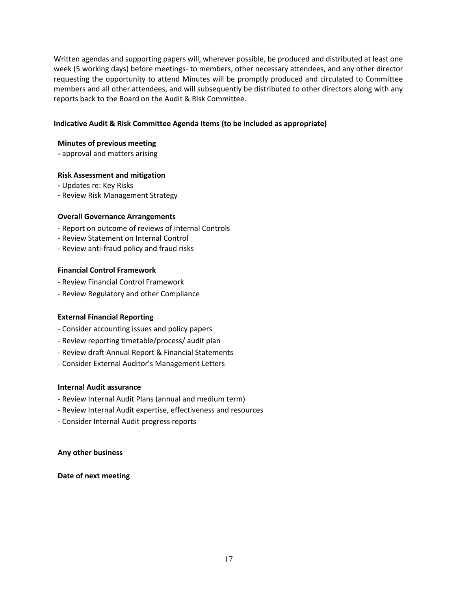Written agendas and supporting papers will, wherever possible, be produced and distributed at least one week (5 working days) before meetings- to members, other necessary attendees, and any other director requesting the opportunity to attend Minutes will be promptly produced and circulated to Committee members and all other attendees, and will subsequently be distributed to other directors along with any reports back to the Board on the Audit & Risk Committee.

### **Indicative Audit & Risk Committee Agenda Items (to be included as appropriate)**

#### **Minutes of previous meeting**

**-** approval and matters arising

#### **Risk Assessment and mitigation**

- **-** Updates re: Key Risks
- **-** Review Risk Management Strategy

#### **Overall Governance Arrangements**

- Report on outcome of reviews of Internal Controls
- Review Statement on Internal Control
- Review anti-fraud policy and fraud risks

#### **Financial Control Framework**

- Review Financial Control Framework
- Review Regulatory and other Compliance

#### **External Financial Reporting**

- Consider accounting issues and policy papers
- Review reporting timetable/process/ audit plan
- Review draft Annual Report & Financial Statements
- Consider External Auditor's Management Letters

#### **Internal Audit assurance**

- Review Internal Audit Plans (annual and medium term)
- Review Internal Audit expertise, effectiveness and resources
- Consider Internal Audit progress reports

#### **Any other business**

#### **Date of next meeting**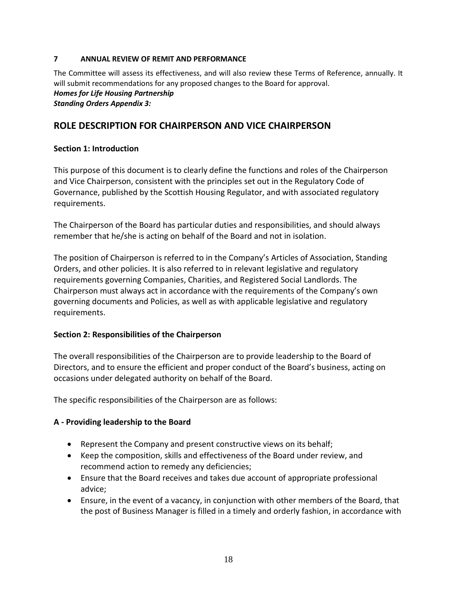## **7 ANNUAL REVIEW OF REMIT AND PERFORMANCE**

The Committee will assess its effectiveness, and will also review these Terms of Reference, annually. It will submit recommendations for any proposed changes to the Board for approval. *Homes for Life Housing Partnership Standing Orders Appendix 3:*

# **ROLE DESCRIPTION FOR CHAIRPERSON AND VICE CHAIRPERSON**

# **Section 1: Introduction**

This purpose of this document is to clearly define the functions and roles of the Chairperson and Vice Chairperson, consistent with the principles set out in the Regulatory Code of Governance, published by the Scottish Housing Regulator, and with associated regulatory requirements.

The Chairperson of the Board has particular duties and responsibilities, and should always remember that he/she is acting on behalf of the Board and not in isolation.

The position of Chairperson is referred to in the Company's Articles of Association, Standing Orders, and other policies. It is also referred to in relevant legislative and regulatory requirements governing Companies, Charities, and Registered Social Landlords. The Chairperson must always act in accordance with the requirements of the Company's own governing documents and Policies, as well as with applicable legislative and regulatory requirements.

# **Section 2: Responsibilities of the Chairperson**

The overall responsibilities of the Chairperson are to provide leadership to the Board of Directors, and to ensure the efficient and proper conduct of the Board's business, acting on occasions under delegated authority on behalf of the Board.

The specific responsibilities of the Chairperson are as follows:

# **A - Providing leadership to the Board**

- Represent the Company and present constructive views on its behalf;
- Keep the composition, skills and effectiveness of the Board under review, and recommend action to remedy any deficiencies;
- Ensure that the Board receives and takes due account of appropriate professional advice;
- Ensure, in the event of a vacancy, in conjunction with other members of the Board, that the post of Business Manager is filled in a timely and orderly fashion, in accordance with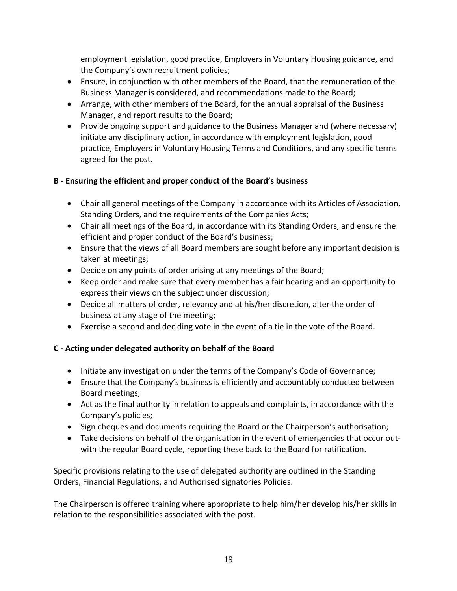employment legislation, good practice, Employers in Voluntary Housing guidance, and the Company's own recruitment policies;

- Ensure, in conjunction with other members of the Board, that the remuneration of the Business Manager is considered, and recommendations made to the Board;
- Arrange, with other members of the Board, for the annual appraisal of the Business Manager, and report results to the Board;
- Provide ongoing support and guidance to the Business Manager and (where necessary) initiate any disciplinary action, in accordance with employment legislation, good practice, Employers in Voluntary Housing Terms and Conditions, and any specific terms agreed for the post.

# **B - Ensuring the efficient and proper conduct of the Board's business**

- Chair all general meetings of the Company in accordance with its Articles of Association, Standing Orders, and the requirements of the Companies Acts;
- Chair all meetings of the Board, in accordance with its Standing Orders, and ensure the efficient and proper conduct of the Board's business;
- Ensure that the views of all Board members are sought before any important decision is taken at meetings;
- Decide on any points of order arising at any meetings of the Board;
- Keep order and make sure that every member has a fair hearing and an opportunity to express their views on the subject under discussion;
- Decide all matters of order, relevancy and at his/her discretion, alter the order of business at any stage of the meeting;
- Exercise a second and deciding vote in the event of a tie in the vote of the Board.

# **C - Acting under delegated authority on behalf of the Board**

- Initiate any investigation under the terms of the Company's Code of Governance;
- Ensure that the Company's business is efficiently and accountably conducted between Board meetings;
- Act as the final authority in relation to appeals and complaints, in accordance with the Company's policies;
- Sign cheques and documents requiring the Board or the Chairperson's authorisation;
- Take decisions on behalf of the organisation in the event of emergencies that occur outwith the regular Board cycle, reporting these back to the Board for ratification.

Specific provisions relating to the use of delegated authority are outlined in the Standing Orders, Financial Regulations, and Authorised signatories Policies.

The Chairperson is offered training where appropriate to help him/her develop his/her skills in relation to the responsibilities associated with the post.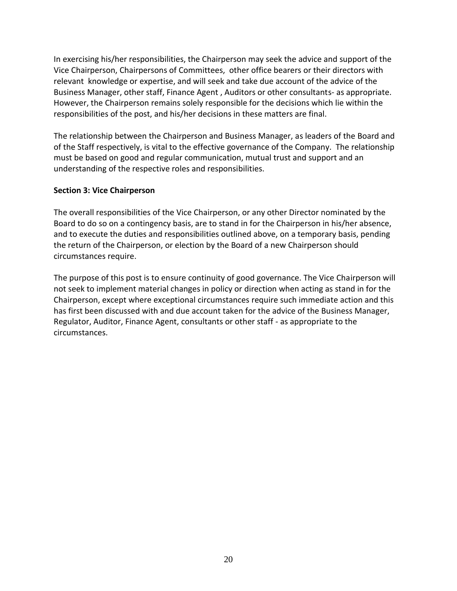In exercising his/her responsibilities, the Chairperson may seek the advice and support of the Vice Chairperson, Chairpersons of Committees, other office bearers or their directors with relevant knowledge or expertise, and will seek and take due account of the advice of the Business Manager, other staff, Finance Agent , Auditors or other consultants- as appropriate. However, the Chairperson remains solely responsible for the decisions which lie within the responsibilities of the post, and his/her decisions in these matters are final.

The relationship between the Chairperson and Business Manager, as leaders of the Board and of the Staff respectively, is vital to the effective governance of the Company. The relationship must be based on good and regular communication, mutual trust and support and an understanding of the respective roles and responsibilities.

## **Section 3: Vice Chairperson**

The overall responsibilities of the Vice Chairperson, or any other Director nominated by the Board to do so on a contingency basis, are to stand in for the Chairperson in his/her absence, and to execute the duties and responsibilities outlined above, on a temporary basis, pending the return of the Chairperson, or election by the Board of a new Chairperson should circumstances require.

The purpose of this post is to ensure continuity of good governance. The Vice Chairperson will not seek to implement material changes in policy or direction when acting as stand in for the Chairperson, except where exceptional circumstances require such immediate action and this has first been discussed with and due account taken for the advice of the Business Manager, Regulator, Auditor, Finance Agent, consultants or other staff - as appropriate to the circumstances.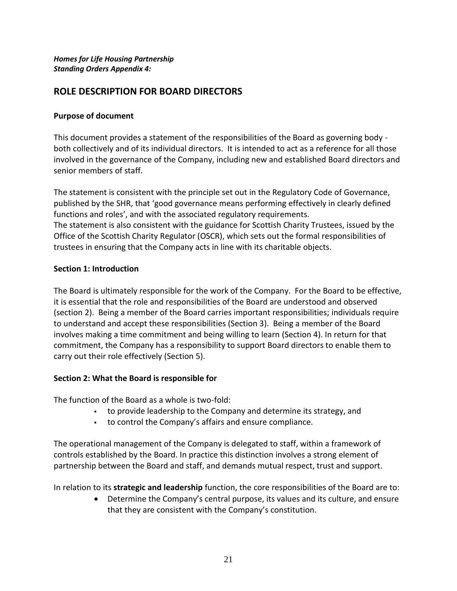*Homes for Life Housing Partnership Standing Orders Appendix 4:*

# **ROLE DESCRIPTION FOR BOARD DIRECTORS**

## **Purpose of document**

This document provides a statement of the responsibilities of the Board as governing body both collectively and of its individual directors. It is intended to act as a reference for all those involved in the governance of the Company, including new and established Board directors and senior members of staff.

The statement is consistent with the principle set out in the Regulatory Code of Governance, published by the SHR, that 'good governance means performing effectively in clearly defined functions and roles', and with the associated regulatory requirements. The statement is also consistent with the guidance for Scottish Charity Trustees, issued by the Office of the Scottish Charity Regulator (OSCR), which sets out the formal responsibilities of trustees in ensuring that the Company acts in line with its charitable objects.

## **Section 1: Introduction**

The Board is ultimately responsible for the work of the Company. For the Board to be effective, it is essential that the role and responsibilities of the Board are understood and observed (section 2). Being a member of the Board carries important responsibilities; individuals require to understand and accept these responsibilities (Section 3). Being a member of the Board involves making a time commitment and being willing to learn (Section 4). In return for that commitment, the Company has a responsibility to support Board directors to enable them to carry out their role effectively (Section 5).

## **Section 2: What the Board is responsible for**

The function of the Board as a whole is two-fold:

- to provide leadership to the Company and determine its strategy, and
- to control the Company's affairs and ensure compliance.

The operational management of the Company is delegated to staff, within a framework of controls established by the Board. In practice this distinction involves a strong element of partnership between the Board and staff, and demands mutual respect, trust and support.

In relation to its **strategic and leadership** function, the core responsibilities of the Board are to:

• Determine the Company's central purpose, its values and its culture, and ensure that they are consistent with the Company's constitution.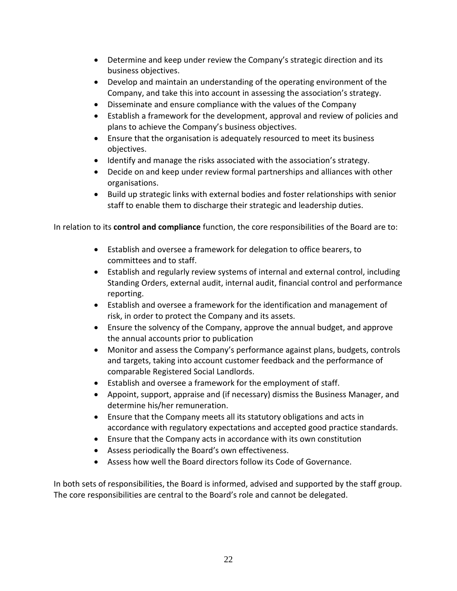- Determine and keep under review the Company's strategic direction and its business objectives.
- Develop and maintain an understanding of the operating environment of the Company, and take this into account in assessing the association's strategy.
- Disseminate and ensure compliance with the values of the Company
- Establish a framework for the development, approval and review of policies and plans to achieve the Company's business objectives.
- Ensure that the organisation is adequately resourced to meet its business objectives.
- Identify and manage the risks associated with the association's strategy.
- Decide on and keep under review formal partnerships and alliances with other organisations.
- Build up strategic links with external bodies and foster relationships with senior staff to enable them to discharge their strategic and leadership duties.

In relation to its **control and compliance** function, the core responsibilities of the Board are to:

- Establish and oversee a framework for delegation to office bearers, to committees and to staff.
- Establish and regularly review systems of internal and external control, including Standing Orders, external audit, internal audit, financial control and performance reporting.
- Establish and oversee a framework for the identification and management of risk, in order to protect the Company and its assets.
- Ensure the solvency of the Company, approve the annual budget, and approve the annual accounts prior to publication
- Monitor and assess the Company's performance against plans, budgets, controls and targets, taking into account customer feedback and the performance of comparable Registered Social Landlords.
- Establish and oversee a framework for the employment of staff.
- Appoint, support, appraise and (if necessary) dismiss the Business Manager, and determine his/her remuneration.
- Ensure that the Company meets all its statutory obligations and acts in accordance with regulatory expectations and accepted good practice standards.
- Ensure that the Company acts in accordance with its own constitution
- Assess periodically the Board's own effectiveness.
- Assess how well the Board directors follow its Code of Governance.

In both sets of responsibilities, the Board is informed, advised and supported by the staff group. The core responsibilities are central to the Board's role and cannot be delegated.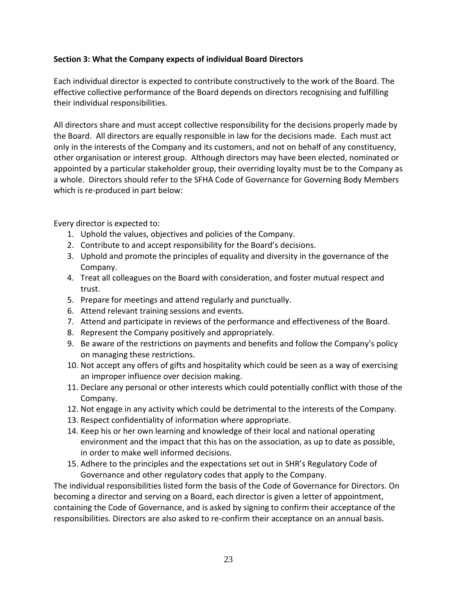# **Section 3: What the Company expects of individual Board Directors**

Each individual director is expected to contribute constructively to the work of the Board. The effective collective performance of the Board depends on directors recognising and fulfilling their individual responsibilities.

All directors share and must accept collective responsibility for the decisions properly made by the Board. All directors are equally responsible in law for the decisions made. Each must act only in the interests of the Company and its customers, and not on behalf of any constituency, other organisation or interest group. Although directors may have been elected, nominated or appointed by a particular stakeholder group, their overriding loyalty must be to the Company as a whole. Directors should refer to the SFHA Code of Governance for Governing Body Members which is re-produced in part below:

Every director is expected to:

- 1. Uphold the values, objectives and policies of the Company.
- 2. Contribute to and accept responsibility for the Board's decisions.
- 3. Uphold and promote the principles of equality and diversity in the governance of the Company.
- 4. Treat all colleagues on the Board with consideration, and foster mutual respect and trust.
- 5. Prepare for meetings and attend regularly and punctually.
- 6. Attend relevant training sessions and events.
- 7. Attend and participate in reviews of the performance and effectiveness of the Board.
- 8. Represent the Company positively and appropriately.
- 9. Be aware of the restrictions on payments and benefits and follow the Company's policy on managing these restrictions.
- 10. Not accept any offers of gifts and hospitality which could be seen as a way of exercising an improper influence over decision making.
- 11. Declare any personal or other interests which could potentially conflict with those of the Company.
- 12. Not engage in any activity which could be detrimental to the interests of the Company.
- 13. Respect confidentiality of information where appropriate.
- 14. Keep his or her own learning and knowledge of their local and national operating environment and the impact that this has on the association, as up to date as possible, in order to make well informed decisions.
- 15. Adhere to the principles and the expectations set out in SHR's Regulatory Code of Governance and other regulatory codes that apply to the Company.

The individual responsibilities listed form the basis of the Code of Governance for Directors. On becoming a director and serving on a Board, each director is given a letter of appointment, containing the Code of Governance, and is asked by signing to confirm their acceptance of the responsibilities. Directors are also asked to re-confirm their acceptance on an annual basis.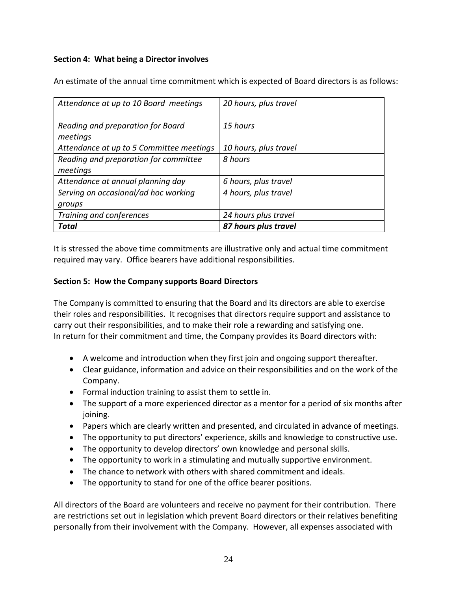# **Section 4: What being a Director involves**

An estimate of the annual time commitment which is expected of Board directors is as follows:

| Attendance at up to 10 Board meetings         | 20 hours, plus travel |
|-----------------------------------------------|-----------------------|
| Reading and preparation for Board<br>meetings | 15 hours              |
| Attendance at up to 5 Committee meetings      | 10 hours, plus travel |
| Reading and preparation for committee         | 8 hours               |
| meetings                                      |                       |
| Attendance at annual planning day             | 6 hours, plus travel  |
| Serving on occasional/ad hoc working          | 4 hours, plus travel  |
| groups                                        |                       |
| Training and conferences                      | 24 hours plus travel  |
| Total                                         | 87 hours plus travel  |

It is stressed the above time commitments are illustrative only and actual time commitment required may vary. Office bearers have additional responsibilities.

## **Section 5: How the Company supports Board Directors**

The Company is committed to ensuring that the Board and its directors are able to exercise their roles and responsibilities. It recognises that directors require support and assistance to carry out their responsibilities, and to make their role a rewarding and satisfying one. In return for their commitment and time, the Company provides its Board directors with:

- A welcome and introduction when they first join and ongoing support thereafter.
- Clear guidance, information and advice on their responsibilities and on the work of the Company.
- Formal induction training to assist them to settle in.
- The support of a more experienced director as a mentor for a period of six months after joining.
- Papers which are clearly written and presented, and circulated in advance of meetings.
- The opportunity to put directors' experience, skills and knowledge to constructive use.
- The opportunity to develop directors' own knowledge and personal skills.
- The opportunity to work in a stimulating and mutually supportive environment.
- The chance to network with others with shared commitment and ideals.
- The opportunity to stand for one of the office bearer positions.

All directors of the Board are volunteers and receive no payment for their contribution. There are restrictions set out in legislation which prevent Board directors or their relatives benefiting personally from their involvement with the Company. However, all expenses associated with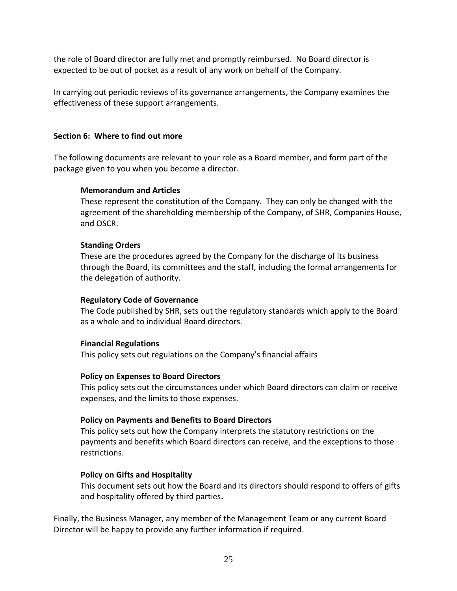the role of Board director are fully met and promptly reimbursed. No Board director is expected to be out of pocket as a result of any work on behalf of the Company*.*

In carrying out periodic reviews of its governance arrangements, the Company examines the effectiveness of these support arrangements.

# **Section 6: Where to find out more**

The following documents are relevant to your role as a Board member, and form part of the package given to you when you become a director.

## **Memorandum and Articles**

These represent the constitution of the Company. They can only be changed with the agreement of the shareholding membership of the Company, of SHR, Companies House, and OSCR.

## **Standing Orders**

These are the procedures agreed by the Company for the discharge of its business through the Board, its committees and the staff, including the formal arrangements for the delegation of authority.

## **Regulatory Code of Governance**

The Code published by SHR, sets out the regulatory standards which apply to the Board as a whole and to individual Board directors.

## **Financial Regulations**

This policy sets out regulations on the Company's financial affairs

## **Policy on Expenses to Board Directors**

This policy sets out the circumstances under which Board directors can claim or receive expenses, and the limits to those expenses.

# **Policy on Payments and Benefits to Board Directors**

This policy sets out how the Company interprets the statutory restrictions on the payments and benefits which Board directors can receive, and the exceptions to those restrictions.

## **Policy on Gifts and Hospitality**

This document sets out how the Board and its directors should respond to offers of gifts and hospitality offered by third parties**.**

Finally, the Business Manager, any member of the Management Team or any current Board Director will be happy to provide any further information if required.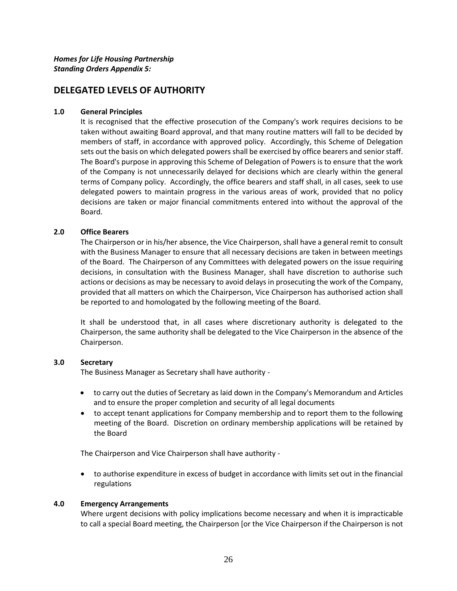# **DELEGATED LEVELS OF AUTHORITY**

#### **1.0 General Principles**

It is recognised that the effective prosecution of the Company's work requires decisions to be taken without awaiting Board approval, and that many routine matters will fall to be decided by members of staff, in accordance with approved policy. Accordingly, this Scheme of Delegation sets out the basis on which delegated powers shall be exercised by office bearers and senior staff. The Board's purpose in approving this Scheme of Delegation of Powers is to ensure that the work of the Company is not unnecessarily delayed for decisions which are clearly within the general terms of Company policy. Accordingly, the office bearers and staff shall, in all cases, seek to use delegated powers to maintain progress in the various areas of work, provided that no policy decisions are taken or major financial commitments entered into without the approval of the Board.

#### **2.0 Office Bearers**

The Chairperson or in his/her absence, the Vice Chairperson, shall have a general remit to consult with the Business Manager to ensure that all necessary decisions are taken in between meetings of the Board. The Chairperson of any Committees with delegated powers on the issue requiring decisions, in consultation with the Business Manager, shall have discretion to authorise such actions or decisions as may be necessary to avoid delays in prosecuting the work of the Company, provided that all matters on which the Chairperson, Vice Chairperson has authorised action shall be reported to and homologated by the following meeting of the Board.

It shall be understood that, in all cases where discretionary authority is delegated to the Chairperson, the same authority shall be delegated to the Vice Chairperson in the absence of the Chairperson.

#### **3.0 Secretary**

The Business Manager as Secretary shall have authority -

- to carry out the duties of Secretary as laid down in the Company's Memorandum and Articles and to ensure the proper completion and security of all legal documents
- to accept tenant applications for Company membership and to report them to the following meeting of the Board. Discretion on ordinary membership applications will be retained by the Board

The Chairperson and Vice Chairperson shall have authority -

• to authorise expenditure in excess of budget in accordance with limits set out in the financial regulations

#### **4.0 Emergency Arrangements**

Where urgent decisions with policy implications become necessary and when it is impracticable to call a special Board meeting, the Chairperson [or the Vice Chairperson if the Chairperson is not